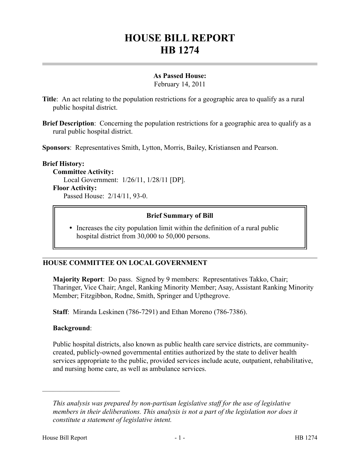# **HOUSE BILL REPORT HB 1274**

## **As Passed House:**

February 14, 2011

**Title**: An act relating to the population restrictions for a geographic area to qualify as a rural public hospital district.

**Brief Description**: Concerning the population restrictions for a geographic area to qualify as a rural public hospital district.

**Sponsors**: Representatives Smith, Lytton, Morris, Bailey, Kristiansen and Pearson.

#### **Brief History:**

**Committee Activity:** Local Government: 1/26/11, 1/28/11 [DP].

#### **Floor Activity:**

Passed House: 2/14/11, 93-0.

#### **Brief Summary of Bill**

• Increases the city population limit within the definition of a rural public hospital district from 30,000 to 50,000 persons.

### **HOUSE COMMITTEE ON LOCAL GOVERNMENT**

**Majority Report**: Do pass. Signed by 9 members: Representatives Takko, Chair; Tharinger, Vice Chair; Angel, Ranking Minority Member; Asay, Assistant Ranking Minority Member; Fitzgibbon, Rodne, Smith, Springer and Upthegrove.

**Staff**: Miranda Leskinen (786-7291) and Ethan Moreno (786-7386).

### **Background**:

––––––––––––––––––––––

Public hospital districts, also known as public health care service districts, are communitycreated, publicly-owned governmental entities authorized by the state to deliver health services appropriate to the public, provided services include acute, outpatient, rehabilitative, and nursing home care, as well as ambulance services.

*This analysis was prepared by non-partisan legislative staff for the use of legislative members in their deliberations. This analysis is not a part of the legislation nor does it constitute a statement of legislative intent.*